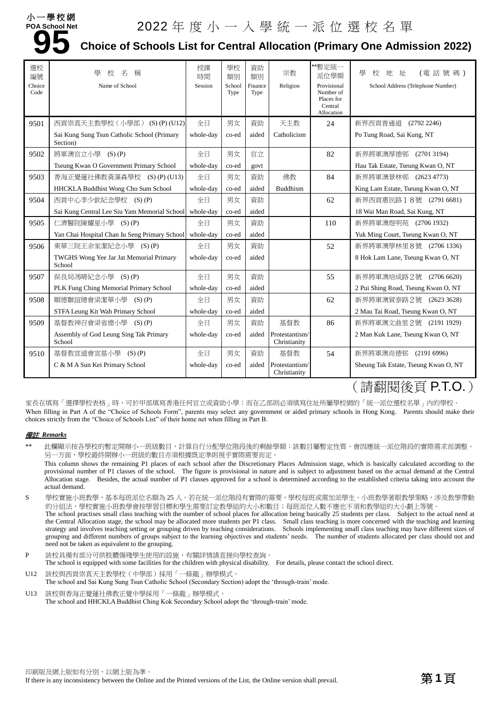

# **94 School Net 2022** 年 度 小 一 入 學 統 一 派 位 選 校 名 單<br>95 Choice of Schools List for Central Allocation (Primary One Admi **Choice of Schools List for Central Allocation (Primary One Admission 2022)**

| 選校<br>編號<br>Choice<br>Code | 壆<br>稱<br>校<br>名<br>Name of School                      | 授課<br>時間<br>Session | 學校<br>類別<br>School<br>Type | 資助<br>類別<br>Finance<br>Type | 宗教<br>Religion                 | **暫定統一<br>派位學額<br>Provisional<br>Number of<br>Places for<br>Central<br>Allocation | 學<br>地址<br>(電話號碼)<br>校<br>School Address (Telephone Number) |
|----------------------------|---------------------------------------------------------|---------------------|----------------------------|-----------------------------|--------------------------------|-----------------------------------------------------------------------------------|-------------------------------------------------------------|
| 9501                       | 西貢崇真天主教學校 (小學部) (S) (P) (U12)                           | 全日                  | 男女                         | 資助                          | 天主教                            | 24                                                                                | 新界西貢普通道<br>(2792 2246)                                      |
|                            | Sai Kung Sung Tsun Catholic School (Primary<br>Section) | whole-day           | co-ed                      | aided                       | Catholicism                    |                                                                                   | Po Tung Road, Sai Kung, NT                                  |
| 9502                       | 將軍澳官立小學 (S)(P)                                          | 全日                  | 男女                         | 官立                          |                                | 82                                                                                | 新界將軍澳厚德邨<br>(27013194)                                      |
|                            | Tseung Kwan O Government Primary School                 | whole-day           | co-ed                      | govt                        |                                |                                                                                   | Hau Tak Estate, Tseung Kwan O, NT                           |
| 9503                       | 香海正覺蓮社佛教黃藻森學校 (S)(P)(U13)                               | 全日                  | 男女                         | 資助                          | 佛教                             | 84                                                                                | 新界將軍澳景林邨 (2623 4773)                                        |
|                            | HHCKLA Buddhist Wong Cho Sum School                     | whole-day           | co-ed                      | aided                       | <b>Buddhism</b>                |                                                                                   | King Lam Estate, Tseung Kwan O, NT                          |
| 9504                       | 西貢中心李少欽紀念學校 (S)(P)                                      | 全日                  | 男女                         | 資助                          |                                | 62                                                                                | 新界西貢惠民路18號 (2791 6681)                                      |
|                            | Sai Kung Central Lee Siu Yam Memorial School            | whole-day           | co-ed                      | aided                       |                                |                                                                                   | 18 Wai Man Road, Sai Kung, NT                               |
| 9505                       | 仁濟醫院陳耀星小學 (S)(P)                                        | 全日                  | 男女                         | 資助                          |                                | 110                                                                               | 新界將軍澳煜明苑 (2706 1932)                                        |
|                            | Yan Chai Hospital Chan Iu Seng Primary School           | whole-day           | co-ed                      | aided                       |                                |                                                                                   | Yuk Ming Court, Tseung Kwan O, NT                           |
| 9506                       | 東華三院王余家潔紀念小學 (S)(P)                                     | 全日                  | 男女                         | 資助                          |                                | 52                                                                                | 新界將軍澳學林里8號 (2706 1336)                                      |
|                            | TWGHS Wong Yee Jar Jat Memorial Primary<br>School       | whole-day           | co-ed                      | aided                       |                                |                                                                                   | 8 Hok Lam Lane, Tseung Kwan O, NT                           |
| 9507                       | 保良局馮晴紀念小學 (S)(P)                                        | 全日                  | 男女                         | 資助                          |                                | 55                                                                                | 新界將軍澳培成路2號<br>(27066620)                                    |
|                            | PLK Fung Ching Memorial Primary School                  | whole-day           | co-ed                      | aided                       |                                |                                                                                   | 2 Pui Shing Road, Tseung Kwan O, NT                         |
| 9508                       | 順德聯誼總會梁潔華小學 (S)(P)                                      | 全日                  | 男女                         | 資助                          |                                | 62                                                                                | 新界將軍澳貿泰路2號 (2623 3628)                                      |
|                            | STFA Leung Kit Wah Primary School                       | whole-day           | co-ed                      | aided                       |                                |                                                                                   | 2 Mau Tai Road, Tseung Kwan O, NT                           |
| 9509                       | 基督教神召會梁省德小學 (S)(P)                                      | 全日                  | 男女                         | 資助                          | 基督教                            | 86                                                                                | 新界將軍澳文曲里2號 (2191 1929)                                      |
|                            | Assembly of God Leung Sing Tak Primary<br>School        | whole-day           | co-ed                      | aided                       | Protestantism/<br>Christianity |                                                                                   | 2 Man Kuk Lane, Tseung Kwan O, NT                           |
| 9510                       | 基督教宣道會宣基小學 (S)(P)                                       | 全日                  | 男女                         | 資助                          | 基督教                            | 54                                                                                | 新界將軍澳尚德邨<br>(21916996)                                      |
|                            | C & M A Sun Kei Primary School                          | whole-day           | co-ed                      | aided                       | Protestantism/<br>Christianity |                                                                                   | Sheung Tak Estate, Tseung Kwan O, NT                        |

## (請翻閱後頁 P.T.O.)

家長在填寫「選擇學校表格」時,可於甲部填寫香港任何官立或資助小學;而在乙部則必須填寫住址所屬學校網的「統一派位選校名單」內的學校。 When filling in Part A of the "Choice of Schools Form", parents may select any government or aided primary schools in Hong Kong. Parents should make their choices strictly from the "Choice of Schools List" of their home net when filling in Part B.

## 備註 *Remarks*

- 此欄顯示按各學校的暫定開辦小一班級數目,計算自行分配學位階段後的剩餘學額;該數目屬暫定性質,會因應統一派位階段的實際需求而調整。 另一方面,學校最終開辦小一班級的數目亦須根據既定準則視乎實際需要而定。
- This column shows the remaining P1 places of each school after the Discretionary Places Admission stage, which is basically calculated according to the provisional number of P1 classes of the school. The figure is provisional in nature and is subject to adjustment based on the actual demand at the Central Allocation stage. Besides, the actual number of P1 classes approved for a school is determined according to the established criteria taking into account the actual demand.
- S 學校實施小班教學,基本每班派位名額為 25 人。若在統一派位階段有實際的需要,學校每班或需加派學生。小班教學著眼教學策略,涉及教學帶動 的分組法,學校實施小班教學會按學習目標和學生需要訂定教學組的大小和數目;每班派位人數不應也不須和教學組的大小劃上等號。 The school practises small class teaching with the number of school places for allocation being basically 25 students per class. Subject to the actual need at the Central Allocation stage, the school may be allocated more students per P1 class. Small class teaching is more concerned with the teaching and learning strategy and involves teaching setting or grouping driven by teaching considerations. Schools implementing small class teaching may have different sizes of grouping and different numbers of groups subject to the learning objectives and students' needs. The number of students allocated per class should not and need not be taken as equivalent to the grouping.
- P 該校具備有部分可供肢體傷殘學生使用的設施,有關詳情請直接向學校查詢。 The school is equipped with some facilities for the children with physical disability. For details, please contact the school direct.
- U12 該校與西貢崇真天主教學校(中學部)採用「一條龍」辦學模式。 The school and Sai Kung Sung Tsun Catholic School (Secondary Section) adopt the 'through-train' mode. U13 該校與香海正覺蓮社佛教正覺中學採用「一條龍」辦學模式。
	- The school and HHCKLA Buddhist Ching Kok Secondary School adopt the 'through-train' mode.